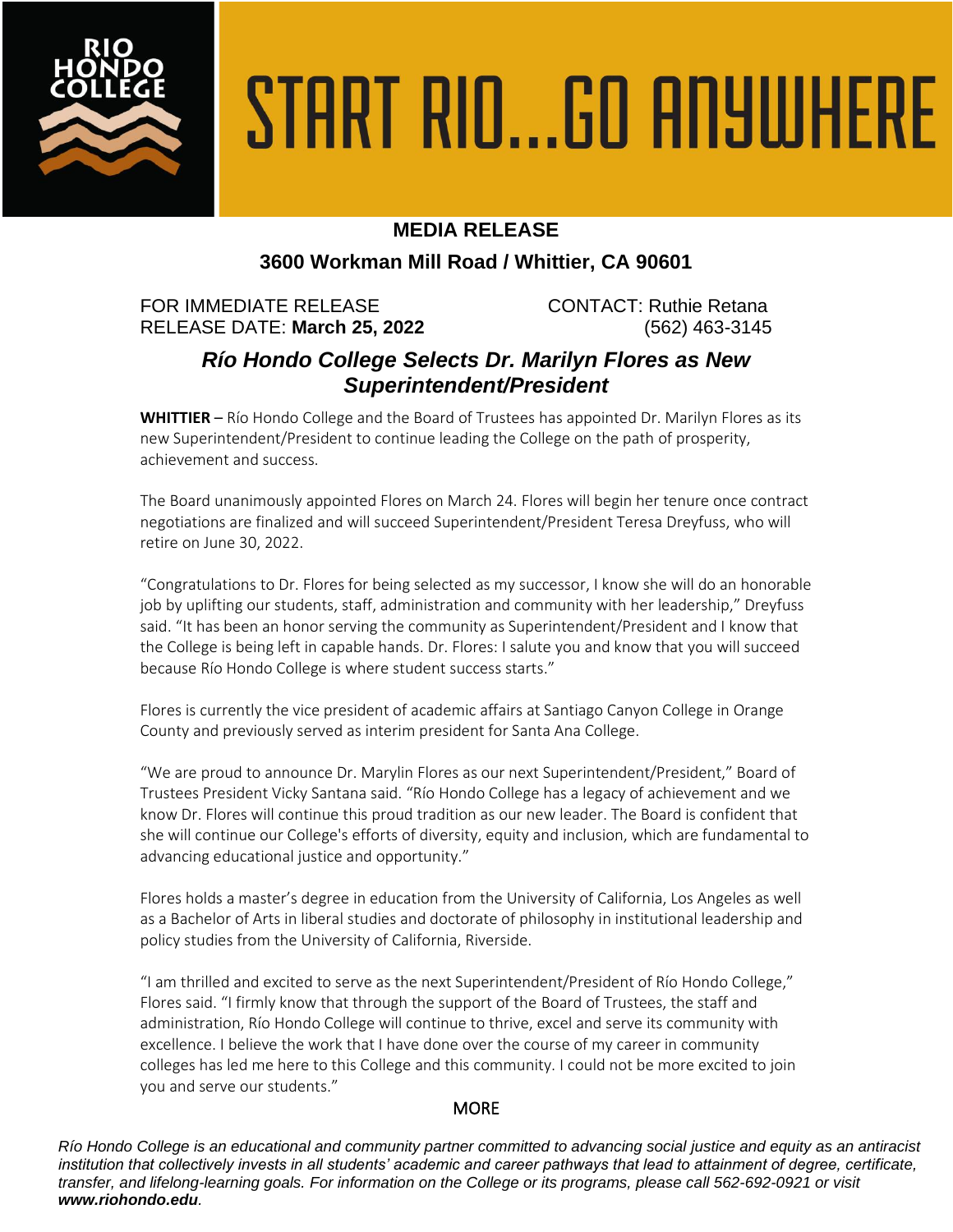

# START RIO...GO ANYWHERE

## **MEDIA RELEASE**

### **3600 Workman Mill Road / Whittier, CA 90601**

FOR IMMEDIATE RELEASE CONTACT: Ruthie Retana RELEASE DATE: **March 25, 2022** (562) 463-3145

# *Río Hondo College Selects Dr. Marilyn Flores as New Superintendent/President*

**WHITTIER** – Río Hondo College and the Board of Trustees has appointed Dr. Marilyn Flores as its new Superintendent/President to continue leading the College on the path of prosperity, achievement and success.

The Board unanimously appointed Flores on March 24. Flores will begin her tenure once contract negotiations are finalized and will succeed Superintendent/President Teresa Dreyfuss, who will retire on June 30, 2022.

"Congratulations to Dr. Flores for being selected as my successor, I know she will do an honorable job by uplifting our students, staff, administration and community with her leadership," Dreyfuss said. "It has been an honor serving the community as Superintendent/President and I know that the College is being left in capable hands. Dr. Flores: I salute you and know that you will succeed because Río Hondo College is where student success starts."

Flores is currently the vice president of academic affairs at Santiago Canyon College in Orange County and previously served as interim president for Santa Ana College.

"We are proud to announce Dr. Marylin Flores as our next Superintendent/President," Board of Trustees President Vicky Santana said. "Río Hondo College has a legacy of achievement and we know Dr. Flores will continue this proud tradition as our new leader. The Board is confident that she will continue our College's efforts of diversity, equity and inclusion, which are fundamental to advancing educational justice and opportunity."

Flores holds a master's degree in education from the University of California, Los Angeles as well as a Bachelor of Arts in liberal studies and doctorate of philosophy in institutional leadership and policy studies from the University of California, Riverside.

"I am thrilled and excited to serve as the next Superintendent/President of Río Hondo College," Flores said. "I firmly know that through the support of the Board of Trustees, the staff and administration, Río Hondo College will continue to thrive, excel and serve its community with excellence. I believe the work that I have done over the course of my career in community colleges has led me here to this College and this community. I could not be more excited to join you and serve our students."

### **MORE**

*Río Hondo College is an educational and community partner committed to advancing social justice and equity as an antiracist institution that collectively invests in all students' academic and career pathways that lead to attainment of degree, certificate, transfer, and lifelong-learning goals. For information on the College or its programs, please call 562-692-0921 or visit www.riohondo.edu.*